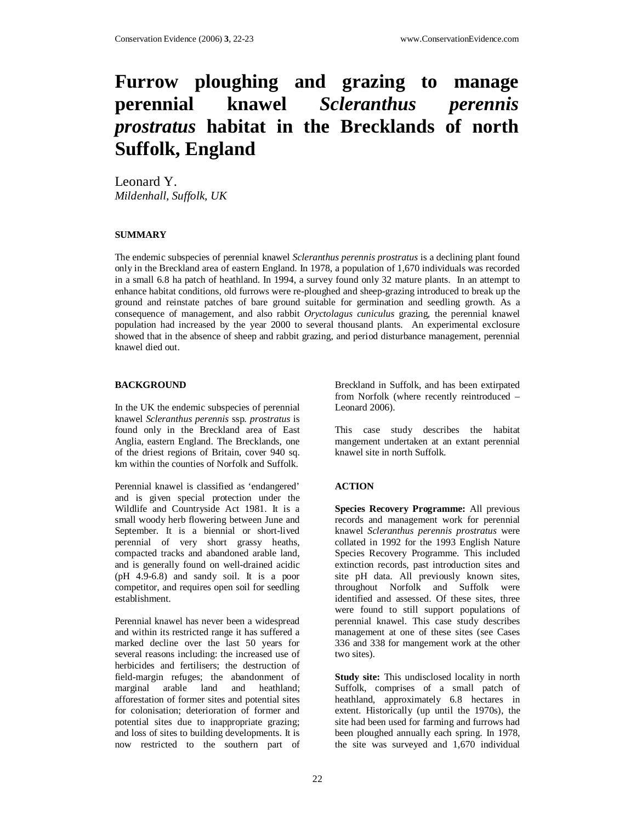# **Furrow ploughing and grazing to manage perennial knawel** *Scleranthus perennis prostratus* **habitat in the Brecklands of north Suffolk, England**

Leonard Y. *Mildenhall, Suffolk, UK* 

## **SUMMARY**

The endemic subspecies of perennial knawel *Scleranthus perennis prostratus* is a declining plant found only in the Breckland area of eastern England. In 1978, a population of 1,670 individuals was recorded in a small 6.8 ha patch of heathland. In 1994, a survey found only 32 mature plants. In an attempt to enhance habitat conditions, old furrows were re-ploughed and sheep-grazing introduced to break up the ground and reinstate patches of bare ground suitable for germination and seedling growth. As a consequence of management, and also rabbit *Oryctolagus cuniculus* grazing, the perennial knawel population had increased by the year 2000 to several thousand plants. An experimental exclosure showed that in the absence of sheep and rabbit grazing, and period disturbance management, perennial knawel died out.

## **BACKGROUND**

In the UK the endemic subspecies of perennial knawel *Scleranthus perennis* ssp. *prostratus* is found only in the Breckland area of East Anglia, eastern England. The Brecklands, one of the driest regions of Britain, cover 940 sq. km within the counties of Norfolk and Suffolk.

Perennial knawel is classified as 'endangered' and is given special protection under the Wildlife and Countryside Act 1981. It is a small woody herb flowering between June and September. It is a biennial or short-lived perennial of very short grassy heaths, compacted tracks and abandoned arable land, and is generally found on well-drained acidic (pH 4.9-6.8) and sandy soil. It is a poor competitor, and requires open soil for seedling establishment.

Perennial knawel has never been a widespread and within its restricted range it has suffered a marked decline over the last 50 years for several reasons including: the increased use of herbicides and fertilisers; the destruction of field-margin refuges; the abandonment of marginal arable land and heathland; afforestation of former sites and potential sites for colonisation; deterioration of former and potential sites due to inappropriate grazing; and loss of sites to building developments. It is now restricted to the southern part of

Breckland in Suffolk, and has been extirpated from Norfolk (where recently reintroduced – Leonard 2006).

This case study describes the habitat mangement undertaken at an extant perennial knawel site in north Suffolk.

## **ACTION**

**Species Recovery Programme:** All previous records and management work for perennial knawel *Scleranthus perennis prostratus* were collated in 1992 for the 1993 English Nature Species Recovery Programme. This included extinction records, past introduction sites and site pH data. All previously known sites, throughout Norfolk and Suffolk were identified and assessed. Of these sites, three were found to still support populations of perennial knawel. This case study describes management at one of these sites (see Cases 336 and 338 for mangement work at the other two sites).

**Study site:** This undisclosed locality in north Suffolk, comprises of a small patch of heathland, approximately 6.8 hectares in extent. Historically (up until the 1970s), the site had been used for farming and furrows had been ploughed annually each spring. In 1978, the site was surveyed and 1,670 individual